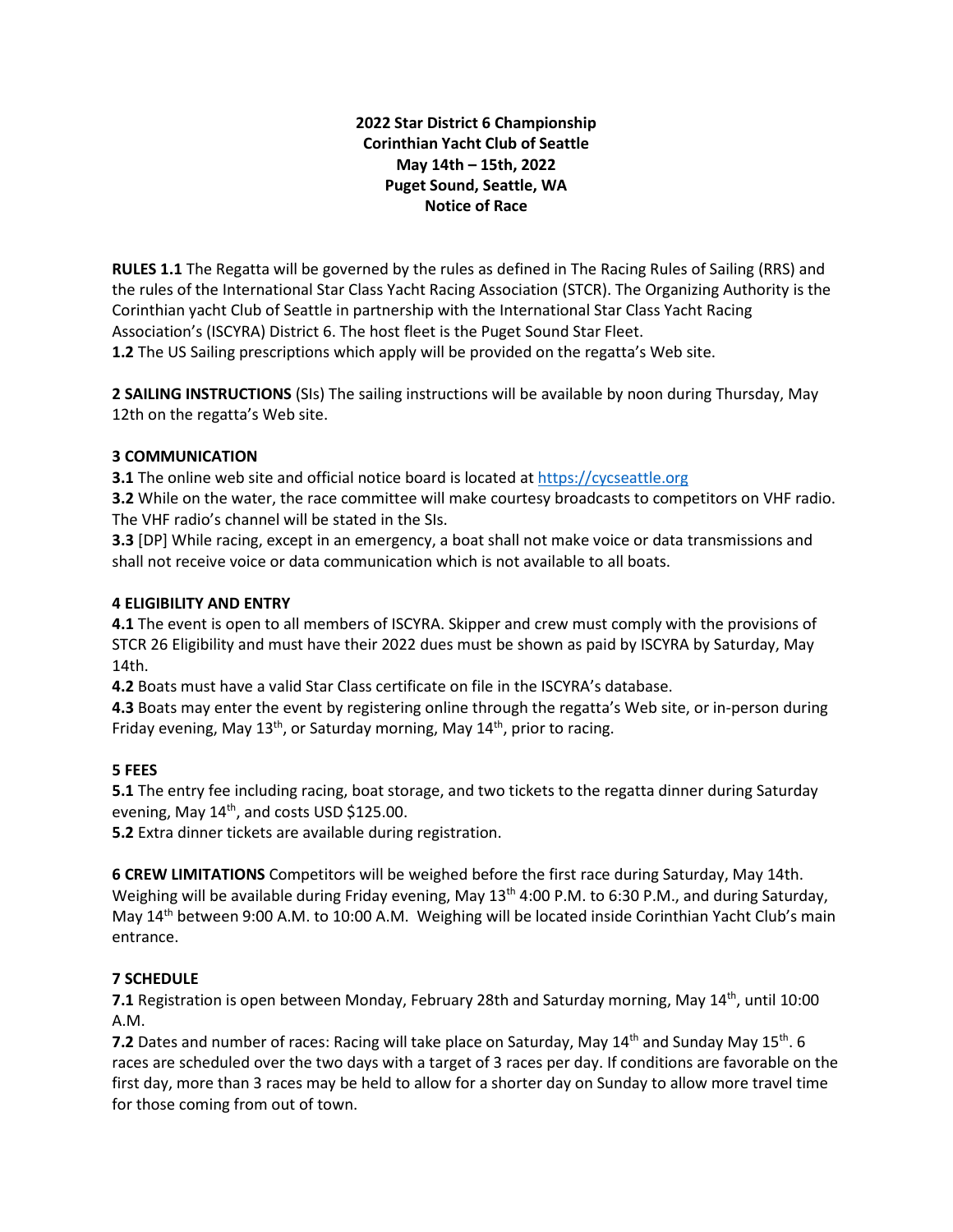# **2022 Star District 6 Championship Corinthian Yacht Club of Seattle May 14th – 15th, 2022 Puget Sound, Seattle, WA Notice of Race**

**RULES 1.1** The Regatta will be governed by the rules as defined in The Racing Rules of Sailing (RRS) and the rules of the International Star Class Yacht Racing Association (STCR). The Organizing Authority is the Corinthian yacht Club of Seattle in partnership with the International Star Class Yacht Racing Association's (ISCYRA) District 6. The host fleet is the Puget Sound Star Fleet. **1.2** The US Sailing prescriptions which apply will be provided on the regatta's Web site.

**2 SAILING INSTRUCTIONS** (SIs) The sailing instructions will be available by noon during Thursday, May 12th on the regatta's Web site.

# **3 COMMUNICATION**

**3.1** The online web site and official notice board is located a[t https://cycseattle.org](https://na01.safelinks.protection.outlook.com/?url=https%3A%2F%2Fcycseattle.org%2F&data=04%7C01%7C%7C5465830f07ec4087853f08d9e9c9c210%7C84df9e7fe9f640afb435aaaaaaaaaaaa%7C1%7C0%7C637797875033280410%7CUnknown%7CTWFpbGZsb3d8eyJWIjoiMC4wLjAwMDAiLCJQIjoiV2luMzIiLCJBTiI6Ik1haWwiLCJXVCI6Mn0%3D%7C3000&sdata=c3xx9WUQmzX7DeBYh7uFol4XnhvdagmwMDO1ikxbmy8%3D&reserved=0)

**3.2** While on the water, the race committee will make courtesy broadcasts to competitors on VHF radio. The VHF radio's channel will be stated in the SIs.

**3.3** [DP] While racing, except in an emergency, a boat shall not make voice or data transmissions and shall not receive voice or data communication which is not available to all boats.

### **4 ELIGIBILITY AND ENTRY**

**4.1** The event is open to all members of ISCYRA. Skipper and crew must comply with the provisions of STCR 26 Eligibility and must have their 2022 dues must be shown as paid by ISCYRA by Saturday, May 14th.

**4.2** Boats must have a valid Star Class certificate on file in the ISCYRA's database.

**4.3** Boats may enter the event by registering online through the regatta's Web site, or in-person during Friday evening, May 13<sup>th</sup>, or Saturday morning, May  $14<sup>th</sup>$ , prior to racing.

# **5 FEES**

**5.1** The entry fee including racing, boat storage, and two tickets to the regatta dinner during Saturday evening, May 14<sup>th</sup>, and costs USD \$125.00.

**5.2** Extra dinner tickets are available during registration.

**6 CREW LIMITATIONS** Competitors will be weighed before the first race during Saturday, May 14th. Weighing will be available during Friday evening, May 13<sup>th</sup> 4:00 P.M. to 6:30 P.M., and during Saturday, May 14<sup>th</sup> between 9:00 A.M. to 10:00 A.M. Weighing will be located inside Corinthian Yacht Club's main entrance.

# **7 SCHEDULE**

**7.1** Registration is open between Monday, February 28th and Saturday morning, May 14<sup>th</sup>, until 10:00 A.M.

**7.2** Dates and number of races: Racing will take place on Saturday, May 14<sup>th</sup> and Sunday May 15<sup>th</sup>. 6 races are scheduled over the two days with a target of 3 races per day. If conditions are favorable on the first day, more than 3 races may be held to allow for a shorter day on Sunday to allow more travel time for those coming from out of town.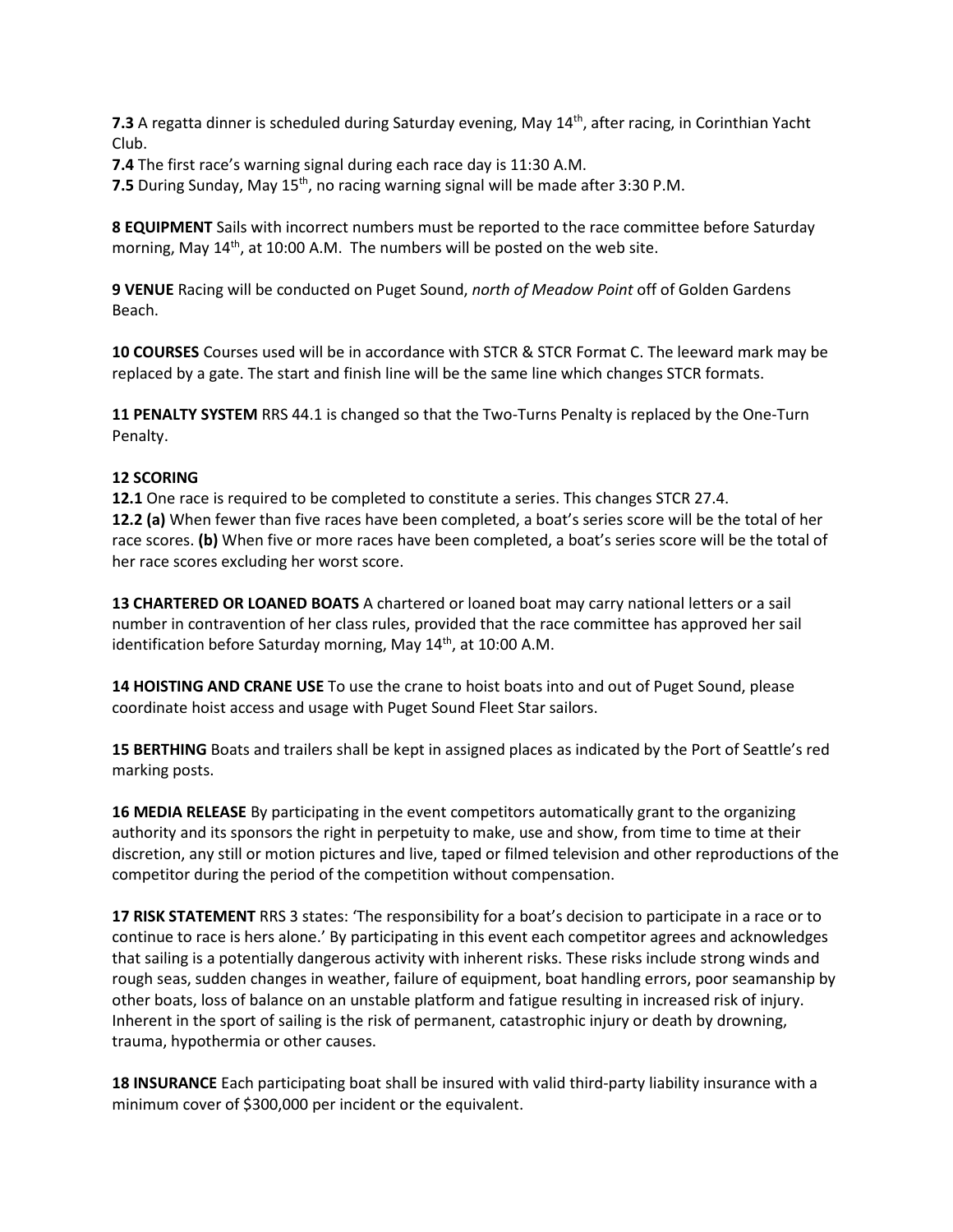**7.3** A regatta dinner is scheduled during Saturday evening, May 14<sup>th</sup>, after racing, in Corinthian Yacht Club.

**7.4** The first race's warning signal during each race day is 11:30 A.M.

**7.5** During Sunday, May 15<sup>th</sup>, no racing warning signal will be made after 3:30 P.M.

**8 EQUIPMENT** Sails with incorrect numbers must be reported to the race committee before Saturday morning, May  $14<sup>th</sup>$ , at 10:00 A.M. The numbers will be posted on the web site.

**9 VENUE** Racing will be conducted on Puget Sound, *north of Meadow Point* off of Golden Gardens Beach.

**10 COURSES** Courses used will be in accordance with STCR & STCR Format C. The leeward mark may be replaced by a gate. The start and finish line will be the same line which changes STCR formats.

**11 PENALTY SYSTEM** RRS 44.1 is changed so that the Two-Turns Penalty is replaced by the One-Turn Penalty.

### **12 SCORING**

**12.1** One race is required to be completed to constitute a series. This changes STCR 27.4. **12.2 (a)** When fewer than five races have been completed, a boat's series score will be the total of her race scores. **(b)** When five or more races have been completed, a boat's series score will be the total of her race scores excluding her worst score.

**13 CHARTERED OR LOANED BOATS** A chartered or loaned boat may carry national letters or a sail number in contravention of her class rules, provided that the race committee has approved her sail identification before Saturday morning, May  $14<sup>th</sup>$ , at 10:00 A.M.

**14 HOISTING AND CRANE USE** To use the crane to hoist boats into and out of Puget Sound, please coordinate hoist access and usage with Puget Sound Fleet Star sailors.

**15 BERTHING** Boats and trailers shall be kept in assigned places as indicated by the Port of Seattle's red marking posts.

**16 MEDIA RELEASE** By participating in the event competitors automatically grant to the organizing authority and its sponsors the right in perpetuity to make, use and show, from time to time at their discretion, any still or motion pictures and live, taped or filmed television and other reproductions of the competitor during the period of the competition without compensation.

**17 RISK STATEMENT** RRS 3 states: 'The responsibility for a boat's decision to participate in a race or to continue to race is hers alone.' By participating in this event each competitor agrees and acknowledges that sailing is a potentially dangerous activity with inherent risks. These risks include strong winds and rough seas, sudden changes in weather, failure of equipment, boat handling errors, poor seamanship by other boats, loss of balance on an unstable platform and fatigue resulting in increased risk of injury. Inherent in the sport of sailing is the risk of permanent, catastrophic injury or death by drowning, trauma, hypothermia or other causes.

**18 INSURANCE** Each participating boat shall be insured with valid third-party liability insurance with a minimum cover of \$300,000 per incident or the equivalent.